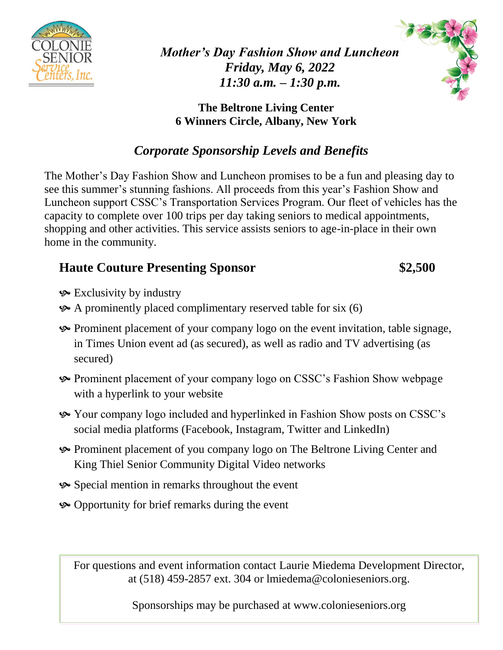

*Mother's Day Fashion Show and Luncheon Friday, May 6, 2022 11:30 a.m. – 1:30 p.m.*

**The Beltrone Living Center 6 Winners Circle, Albany, New York**

# *Corporate Sponsorship Levels and Benefits*

The Mother's Day Fashion Show and Luncheon promises to be a fun and pleasing day to see this summer's stunning fashions. All proceeds from this year's Fashion Show and Luncheon support CSSC's Transportation Services Program. Our fleet of vehicles has the capacity to complete over 100 trips per day taking seniors to medical appointments, shopping and other activities. This service assists seniors to age-in-place in their own home in the community.

## **Haute Couture Presenting Sponsor \$2,500**

- Exclusivity by industry
- A prominently placed complimentary reserved table for six (6)
- Prominent placement of your company logo on the event invitation, table signage, in Times Union event ad (as secured), as well as radio and TV advertising (as secured)
- Prominent placement of your company logo on CSSC's Fashion Show webpage with a hyperlink to your website
- Your company logo included and hyperlinked in Fashion Show posts on CSSC's social media platforms (Facebook, Instagram, Twitter and LinkedIn)
- Prominent placement of you company logo on The Beltrone Living Center and King Thiel Senior Community Digital Video networks
- Special mention in remarks throughout the event
- Opportunity for brief remarks during the event

For questions and event information contact Laurie Miedema Development Director, at (518) 459-2857 ext. 304 or lmiedema@colonieseniors.org.

Sponsorships may be purchased at www.colonieseniors.org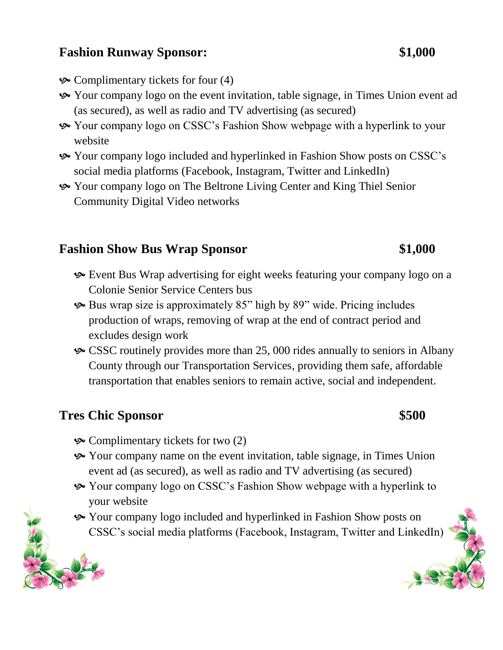### **Fashion Runway Sponsor: \$1,000**

- $\&$  Complimentary tickets for four (4)
- Your company logo on the event invitation, table signage, in Times Union event ad (as secured), as well as radio and TV advertising (as secured)
- Your company logo on CSSC's Fashion Show webpage with a hyperlink to your website
- Your company logo included and hyperlinked in Fashion Show posts on CSSC's social media platforms (Facebook, Instagram, Twitter and LinkedIn)
- Your company logo on The Beltrone Living Center and King Thiel Senior Community Digital Video networks

### **Fashion Show Bus Wrap Sponsor \$1,000**

- Event Bus Wrap advertising for eight weeks featuring your company logo on a Colonie Senior Service Centers bus
- Bus wrap size is approximately 85" high by 89" wide. Pricing includes production of wraps, removing of wrap at the end of contract period and excludes design work
- CSSC routinely provides more than 25, 000 rides annually to seniors in Albany County through our Transportation Services, providing them safe, affordable transportation that enables seniors to remain active, social and independent.

### **Tres Chic Sponsor \$500**

- $\&$  Complimentary tickets for two (2)
- Your company name on the event invitation, table signage, in Times Union event ad (as secured), as well as radio and TV advertising (as secured)
- Your company logo on CSSC's Fashion Show webpage with a hyperlink to your website
- Your company logo included and hyperlinked in Fashion Show posts on CSSC's social media platforms (Facebook, Instagram, Twitter and LinkedIn)